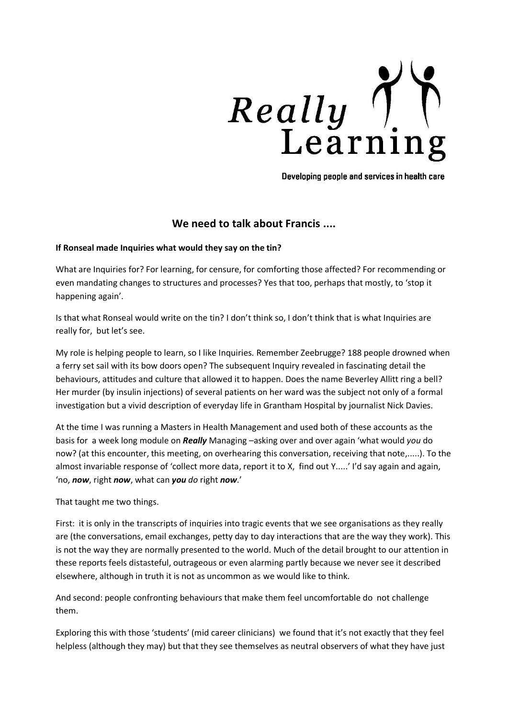

Developing people and services in health care

# **We need to talk about Francis ....**

### **If Ronseal made Inquiries what would they say on the tin?**

What are Inquiries for? For learning, for censure, for comforting those affected? For recommending or even mandating changes to structures and processes? Yes that too, perhaps that mostly, to 'stop it happening again'.

Is that what Ronseal would write on the tin? I don't think so, I don't think that is what Inquiries are really for, but let's see.

My role is helping people to learn, so I like Inquiries. Remember Zeebrugge? 188 people drowned when a ferry set sail with its bow doors open? The subsequent Inquiry revealed in fascinating detail the behaviours, attitudes and culture that allowed it to happen. Does the name Beverley Allitt ring a bell? Her murder (by insulin injections) of several patients on her ward was the subject not only of a formal investigation but a vivid description of everyday life in Grantham Hospital by journalist Nick Davies.

At the time I was running a Masters in Health Management and used both of these accounts as the basis for a week long module on *Really* Managing –asking over and over again 'what would *you* do now? (at this encounter, this meeting, on overhearing this conversation, receiving that note,.....). To the almost invariable response of 'collect more data, report it to X, find out Y.....' I'd say again and again, 'no, *now*, right *now*, what can *you do* right *now*.'

That taught me two things.

First: it is only in the transcripts of inquiries into tragic events that we see organisations as they really are (the conversations, email exchanges, petty day to day interactions that are the way they work). This is not the way they are normally presented to the world. Much of the detail brought to our attention in these reports feels distasteful, outrageous or even alarming partly because we never see it described elsewhere, although in truth it is not as uncommon as we would like to think.

And second: people confronting behaviours that make them feel uncomfortable do not challenge them.

Exploring this with those 'students' (mid career clinicians) we found that it's not exactly that they feel helpless (although they may) but that they see themselves as neutral observers of what they have just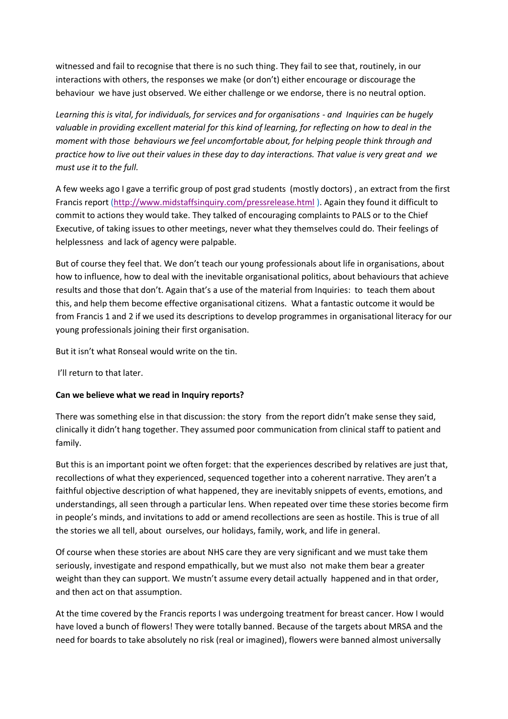witnessed and fail to recognise that there is no such thing. They fail to see that, routinely, in our interactions with others, the responses we make (or don't) either encourage or discourage the behaviour we have just observed. We either challenge or we endorse, there is no neutral option.

*Learning this is vital, for individuals, for services and for organisations - and Inquiries can be hugely valuable in providing excellent material for this kind of learning, for reflecting on how to deal in the moment with those behaviours we feel uncomfortable about, for helping people think through and practice how to live out their values in these day to day interactions. That value is very great and we must use it to the full.* 

A few weeks ago I gave a terrific group of post grad students (mostly doctors) , an extract from the first Francis report [\(http://www.midstaffsinquiry.com/pressrelease.html](http://www.midstaffsinquiry.com/pressrelease.html) ). Again they found it difficult to commit to actions they would take. They talked of encouraging complaints to PALS or to the Chief Executive, of taking issues to other meetings, never what they themselves could do. Their feelings of helplessness and lack of agency were palpable.

But of course they feel that. We don't teach our young professionals about life in organisations, about how to influence, how to deal with the inevitable organisational politics, about behaviours that achieve results and those that don't. Again that's a use of the material from Inquiries: to teach them about this, and help them become effective organisational citizens. What a fantastic outcome it would be from Francis 1 and 2 if we used its descriptions to develop programmes in organisational literacy for our young professionals joining their first organisation.

But it isn't what Ronseal would write on the tin.

I'll return to that later.

## **Can we believe what we read in Inquiry reports?**

There was something else in that discussion: the story from the report didn't make sense they said, clinically it didn't hang together. They assumed poor communication from clinical staff to patient and family.

But this is an important point we often forget: that the experiences described by relatives are just that, recollections of what they experienced, sequenced together into a coherent narrative. They aren't a faithful objective description of what happened, they are inevitably snippets of events, emotions, and understandings, all seen through a particular lens. When repeated over time these stories become firm in people's minds, and invitations to add or amend recollections are seen as hostile. This is true of all the stories we all tell, about ourselves, our holidays, family, work, and life in general.

Of course when these stories are about NHS care they are very significant and we must take them seriously, investigate and respond empathically, but we must also not make them bear a greater weight than they can support. We mustn't assume every detail actually happened and in that order, and then act on that assumption.

At the time covered by the Francis reports I was undergoing treatment for breast cancer. How I would have loved a bunch of flowers! They were totally banned. Because of the targets about MRSA and the need for boards to take absolutely no risk (real or imagined), flowers were banned almost universally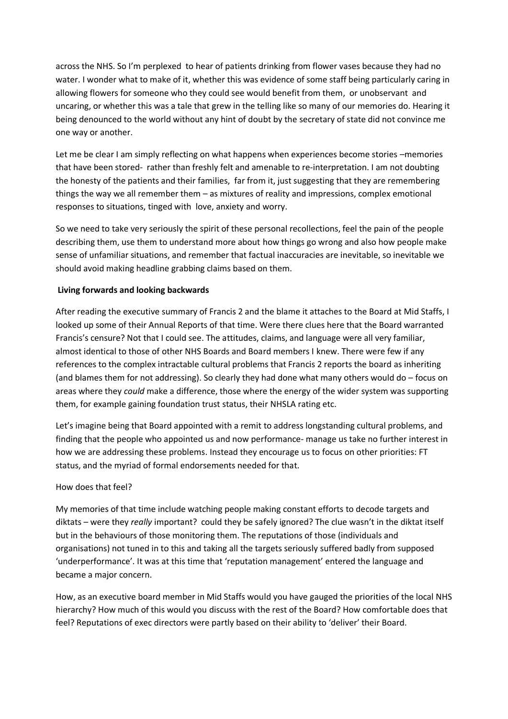across the NHS. So I'm perplexed to hear of patients drinking from flower vases because they had no water. I wonder what to make of it, whether this was evidence of some staff being particularly caring in allowing flowers for someone who they could see would benefit from them, or unobservant and uncaring, or whether this was a tale that grew in the telling like so many of our memories do. Hearing it being denounced to the world without any hint of doubt by the secretary of state did not convince me one way or another.

Let me be clear I am simply reflecting on what happens when experiences become stories –memories that have been stored- rather than freshly felt and amenable to re-interpretation. I am not doubting the honesty of the patients and their families, far from it, just suggesting that they are remembering things the way we all remember them – as mixtures of reality and impressions, complex emotional responses to situations, tinged with love, anxiety and worry.

So we need to take very seriously the spirit of these personal recollections, feel the pain of the people describing them, use them to understand more about how things go wrong and also how people make sense of unfamiliar situations, and remember that factual inaccuracies are inevitable, so inevitable we should avoid making headline grabbing claims based on them.

### **Living forwards and looking backwards**

After reading the executive summary of Francis 2 and the blame it attaches to the Board at Mid Staffs, I looked up some of their Annual Reports of that time. Were there clues here that the Board warranted Francis's censure? Not that I could see. The attitudes, claims, and language were all very familiar, almost identical to those of other NHS Boards and Board members I knew. There were few if any references to the complex intractable cultural problems that Francis 2 reports the board as inheriting (and blames them for not addressing). So clearly they had done what many others would do – focus on areas where they *could* make a difference, those where the energy of the wider system was supporting them, for example gaining foundation trust status, their NHSLA rating etc.

Let's imagine being that Board appointed with a remit to address longstanding cultural problems, and finding that the people who appointed us and now performance- manage us take no further interest in how we are addressing these problems. Instead they encourage us to focus on other priorities: FT status, and the myriad of formal endorsements needed for that.

### How does that feel?

My memories of that time include watching people making constant efforts to decode targets and diktats – were they *really* important? could they be safely ignored? The clue wasn't in the diktat itself but in the behaviours of those monitoring them. The reputations of those (individuals and organisations) not tuned in to this and taking all the targets seriously suffered badly from supposed 'underperformance'. It was at this time that 'reputation management' entered the language and became a major concern.

How, as an executive board member in Mid Staffs would you have gauged the priorities of the local NHS hierarchy? How much of this would you discuss with the rest of the Board? How comfortable does that feel? Reputations of exec directors were partly based on their ability to 'deliver' their Board.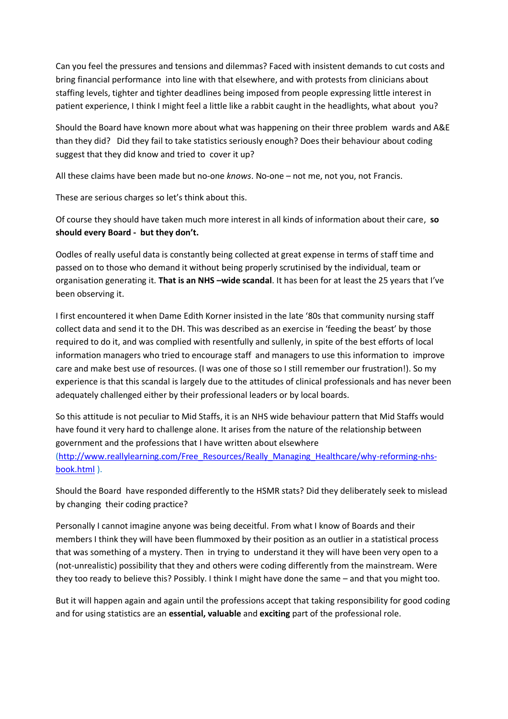Can you feel the pressures and tensions and dilemmas? Faced with insistent demands to cut costs and bring financial performance into line with that elsewhere, and with protests from clinicians about staffing levels, tighter and tighter deadlines being imposed from people expressing little interest in patient experience, I think I might feel a little like a rabbit caught in the headlights, what about you?

Should the Board have known more about what was happening on their three problem wards and A&E than they did? Did they fail to take statistics seriously enough? Does their behaviour about coding suggest that they did know and tried to cover it up?

All these claims have been made but no-one *knows*. No-one – not me, not you, not Francis.

These are serious charges so let's think about this.

Of course they should have taken much more interest in all kinds of information about their care, **so should every Board - but they don't.**

Oodles of really useful data is constantly being collected at great expense in terms of staff time and passed on to those who demand it without being properly scrutinised by the individual, team or organisation generating it. **That is an NHS –wide scandal**. It has been for at least the 25 years that I've been observing it.

I first encountered it when Dame Edith Korner insisted in the late '80s that community nursing staff collect data and send it to the DH. This was described as an exercise in 'feeding the beast' by those required to do it, and was complied with resentfully and sullenly, in spite of the best efforts of local information managers who tried to encourage staff and managers to use this information to improve care and make best use of resources. (I was one of those so I still remember our frustration!). So my experience is that this scandal is largely due to the attitudes of clinical professionals and has never been adequately challenged either by their professional leaders or by local boards.

So this attitude is not peculiar to Mid Staffs, it is an NHS wide behaviour pattern that Mid Staffs would have found it very hard to challenge alone. It arises from the nature of the relationship between government and the professions that I have written about elsewhere

[\(http://www.reallylearning.com/Free\\_Resources/Really\\_Managing\\_Healthcare/why-reforming-nhs](http://www.reallylearning.com/Free_Resources/Really_Managing_Healthcare/why-reforming-nhs-book.html)[book.html](http://www.reallylearning.com/Free_Resources/Really_Managing_Healthcare/why-reforming-nhs-book.html) ).

Should the Board have responded differently to the HSMR stats? Did they deliberately seek to mislead by changing their coding practice?

Personally I cannot imagine anyone was being deceitful. From what I know of Boards and their members I think they will have been flummoxed by their position as an outlier in a statistical process that was something of a mystery. Then in trying to understand it they will have been very open to a (not-unrealistic) possibility that they and others were coding differently from the mainstream. Were they too ready to believe this? Possibly. I think I might have done the same – and that you might too.

But it will happen again and again until the professions accept that taking responsibility for good coding and for using statistics are an **essential, valuable** and **exciting** part of the professional role.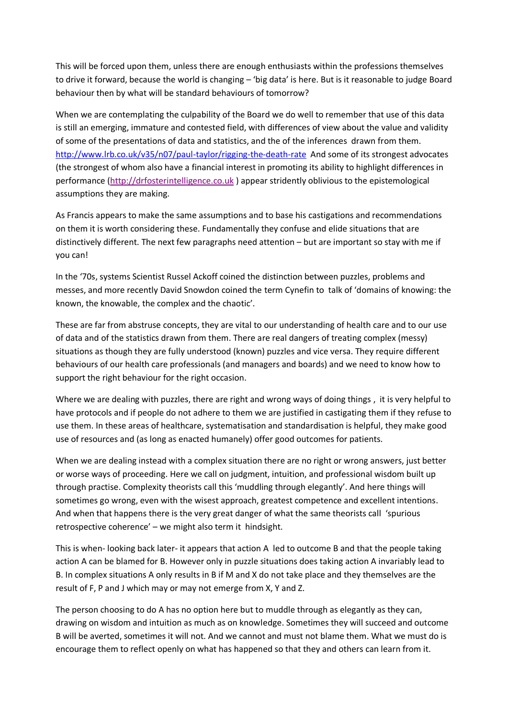This will be forced upon them, unless there are enough enthusiasts within the professions themselves to drive it forward, because the world is changing – 'big data' is here. But is it reasonable to judge Board behaviour then by what will be standard behaviours of tomorrow?

When we are contemplating the culpability of the Board we do well to remember that use of this data is still an emerging, immature and contested field, with differences of view about the value and validity of some of the presentations of data and statistics, and the of the inferences drawn from them. <http://www.lrb.co.uk/v35/n07/paul-taylor/rigging-the-death-rate> And some of its strongest advocates (the strongest of whom also have a financial interest in promoting its ability to highlight differences in performance [\(http://drfosterintelligence.co.uk](http://drfosterintelligence.co.uk/)) appear stridently oblivious to the epistemological assumptions they are making.

As Francis appears to make the same assumptions and to base his castigations and recommendations on them it is worth considering these. Fundamentally they confuse and elide situations that are distinctively different. The next few paragraphs need attention – but are important so stay with me if you can!

In the '70s, systems Scientist Russel Ackoff coined the distinction between puzzles, problems and messes, and more recently David Snowdon coined the term Cynefin to talk of 'domains of knowing: the known, the knowable, the complex and the chaotic'.

These are far from abstruse concepts, they are vital to our understanding of health care and to our use of data and of the statistics drawn from them. There are real dangers of treating complex (messy) situations as though they are fully understood (known) puzzles and vice versa. They require different behaviours of our health care professionals (and managers and boards) and we need to know how to support the right behaviour for the right occasion.

Where we are dealing with puzzles, there are right and wrong ways of doing things, it is very helpful to have protocols and if people do not adhere to them we are justified in castigating them if they refuse to use them. In these areas of healthcare, systematisation and standardisation is helpful, they make good use of resources and (as long as enacted humanely) offer good outcomes for patients.

When we are dealing instead with a complex situation there are no right or wrong answers, just better or worse ways of proceeding. Here we call on judgment, intuition, and professional wisdom built up through practise. Complexity theorists call this 'muddling through elegantly'. And here things will sometimes go wrong, even with the wisest approach, greatest competence and excellent intentions. And when that happens there is the very great danger of what the same theorists call 'spurious retrospective coherence' – we might also term it hindsight.

This is when- looking back later- it appears that action A led to outcome B and that the people taking action A can be blamed for B. However only in puzzle situations does taking action A invariably lead to B. In complex situations A only results in B if M and X do not take place and they themselves are the result of F, P and J which may or may not emerge from X, Y and Z.

The person choosing to do A has no option here but to muddle through as elegantly as they can, drawing on wisdom and intuition as much as on knowledge. Sometimes they will succeed and outcome B will be averted, sometimes it will not. And we cannot and must not blame them. What we must do is encourage them to reflect openly on what has happened so that they and others can learn from it.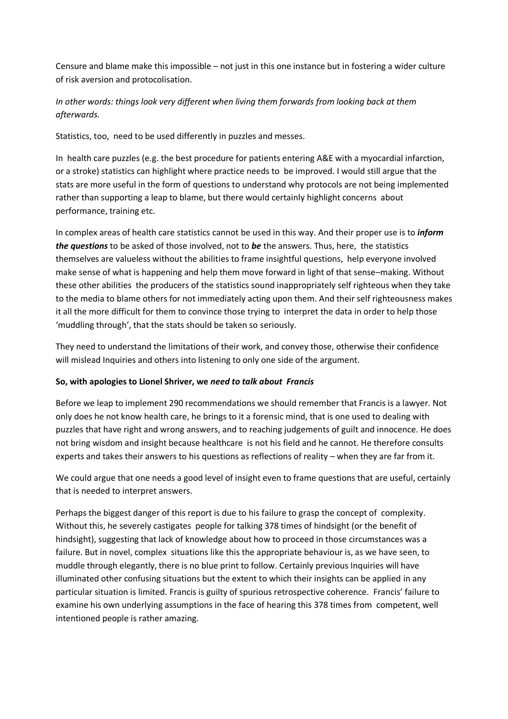Censure and blame make this impossible – not just in this one instance but in fostering a wider culture of risk aversion and protocolisation.

## *In other words: things look very different when living them forwards from looking back at them afterwards.*

Statistics, too, need to be used differently in puzzles and messes.

In health care puzzles (e.g. the best procedure for patients entering A&E with a myocardial infarction, or a stroke) statistics can highlight where practice needs to be improved. I would still argue that the stats are more useful in the form of questions to understand why protocols are not being implemented rather than supporting a leap to blame, but there would certainly highlight concerns about performance, training etc.

In complex areas of health care statistics cannot be used in this way. And their proper use is to *inform the questions* to be asked of those involved, not to *be* the answers. Thus, here, the statistics themselves are valueless without the abilities to frame insightful questions, help everyone involved make sense of what is happening and help them move forward in light of that sense–making. Without these other abilities the producers of the statistics sound inappropriately self righteous when they take to the media to blame others for not immediately acting upon them. And their self righteousness makes it all the more difficult for them to convince those trying to interpret the data in order to help those 'muddling through', that the stats should be taken so seriously.

They need to understand the limitations of their work, and convey those, otherwise their confidence will mislead Inquiries and others into listening to only one side of the argument.

## **So, with apologies to Lionel Shriver, we** *need to talk about Francis*

Before we leap to implement 290 recommendations we should remember that Francis is a lawyer. Not only does he not know health care, he brings to it a forensic mind, that is one used to dealing with puzzles that have right and wrong answers, and to reaching judgements of guilt and innocence. He does not bring wisdom and insight because healthcare is not his field and he cannot. He therefore consults experts and takes their answers to his questions as reflections of reality – when they are far from it.

We could argue that one needs a good level of insight even to frame questions that are useful, certainly that is needed to interpret answers.

Perhaps the biggest danger of this report is due to his failure to grasp the concept of complexity. Without this, he severely castigates people for talking 378 times of hindsight (or the benefit of hindsight), suggesting that lack of knowledge about how to proceed in those circumstances was a failure. But in novel, complex situations like this the appropriate behaviour is, as we have seen, to muddle through elegantly, there is no blue print to follow. Certainly previous Inquiries will have illuminated other confusing situations but the extent to which their insights can be applied in any particular situation is limited. Francis is guilty of spurious retrospective coherence. Francis' failure to examine his own underlying assumptions in the face of hearing this 378 times from competent, well intentioned people is rather amazing.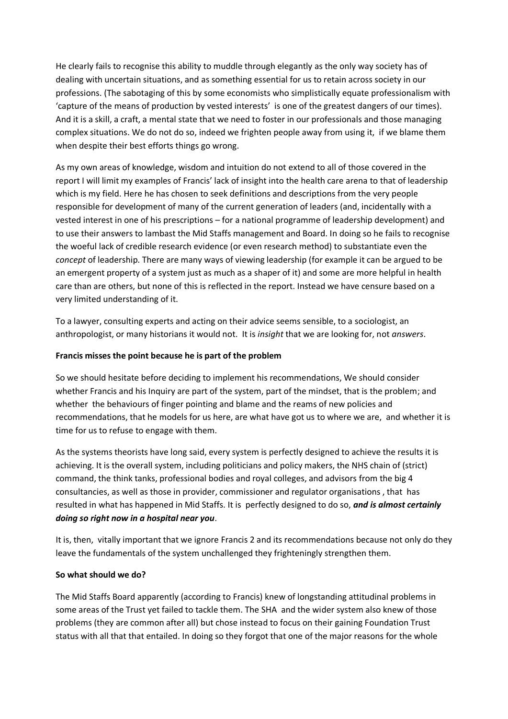He clearly fails to recognise this ability to muddle through elegantly as the only way society has of dealing with uncertain situations, and as something essential for us to retain across society in our professions. (The sabotaging of this by some economists who simplistically equate professionalism with 'capture of the means of production by vested interests' is one of the greatest dangers of our times). And it is a skill, a craft, a mental state that we need to foster in our professionals and those managing complex situations. We do not do so, indeed we frighten people away from using it, if we blame them when despite their best efforts things go wrong.

As my own areas of knowledge, wisdom and intuition do not extend to all of those covered in the report I will limit my examples of Francis' lack of insight into the health care arena to that of leadership which is my field. Here he has chosen to seek definitions and descriptions from the very people responsible for development of many of the current generation of leaders (and, incidentally with a vested interest in one of his prescriptions – for a national programme of leadership development) and to use their answers to lambast the Mid Staffs management and Board. In doing so he fails to recognise the woeful lack of credible research evidence (or even research method) to substantiate even the *concept* of leadership. There are many ways of viewing leadership (for example it can be argued to be an emergent property of a system just as much as a shaper of it) and some are more helpful in health care than are others, but none of this is reflected in the report. Instead we have censure based on a very limited understanding of it.

To a lawyer, consulting experts and acting on their advice seems sensible, to a sociologist, an anthropologist, or many historians it would not. It is *insight* that we are looking for, not *answers*.

### **Francis misses the point because he is part of the problem**

So we should hesitate before deciding to implement his recommendations, We should consider whether Francis and his Inquiry are part of the system, part of the mindset, that is the problem; and whether the behaviours of finger pointing and blame and the reams of new policies and recommendations, that he models for us here, are what have got us to where we are, and whether it is time for us to refuse to engage with them.

As the systems theorists have long said, every system is perfectly designed to achieve the results it is achieving. It is the overall system, including politicians and policy makers, the NHS chain of (strict) command, the think tanks, professional bodies and royal colleges, and advisors from the big 4 consultancies, as well as those in provider, commissioner and regulator organisations , that has resulted in what has happened in Mid Staffs. It is perfectly designed to do so, *and is almost certainly doing so right now in a hospital near you*.

It is, then, vitally important that we ignore Francis 2 and its recommendations because not only do they leave the fundamentals of the system unchallenged they frighteningly strengthen them.

### **So what should we do?**

The Mid Staffs Board apparently (according to Francis) knew of longstanding attitudinal problems in some areas of the Trust yet failed to tackle them. The SHA and the wider system also knew of those problems (they are common after all) but chose instead to focus on their gaining Foundation Trust status with all that that entailed. In doing so they forgot that one of the major reasons for the whole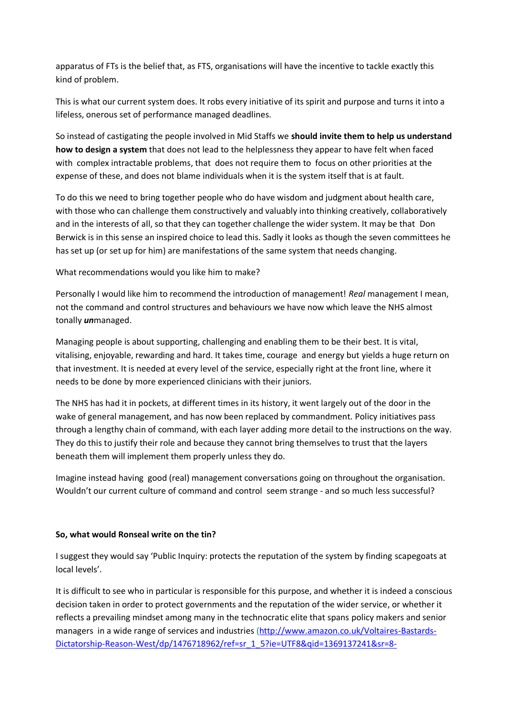apparatus of FTs is the belief that, as FTS, organisations will have the incentive to tackle exactly this kind of problem.

This is what our current system does. It robs every initiative of its spirit and purpose and turns it into a lifeless, onerous set of performance managed deadlines.

So instead of castigating the people involved in Mid Staffs we **should invite them to help us understand how to design a system** that does not lead to the helplessness they appear to have felt when faced with complex intractable problems, that does not require them to focus on other priorities at the expense of these, and does not blame individuals when it is the system itself that is at fault.

To do this we need to bring together people who do have wisdom and judgment about health care, with those who can challenge them constructively and valuably into thinking creatively, collaboratively and in the interests of all, so that they can together challenge the wider system. It may be that Don Berwick is in this sense an inspired choice to lead this. Sadly it looks as though the seven committees he has set up (or set up for him) are manifestations of the same system that needs changing.

What recommendations would you like him to make?

Personally I would like him to recommend the introduction of management! *Real* management I mean, not the command and control structures and behaviours we have now which leave the NHS almost tonally *un*managed.

Managing people is about supporting, challenging and enabling them to be their best. It is vital, vitalising, enjoyable, rewarding and hard. It takes time, courage and energy but yields a huge return on that investment. It is needed at every level of the service, especially right at the front line, where it needs to be done by more experienced clinicians with their juniors.

The NHS has had it in pockets, at different times in its history, it went largely out of the door in the wake of general management, and has now been replaced by commandment. Policy initiatives pass through a lengthy chain of command, with each layer adding more detail to the instructions on the way. They do this to justify their role and because they cannot bring themselves to trust that the layers beneath them will implement them properly unless they do.

Imagine instead having good (real) management conversations going on throughout the organisation. Wouldn't our current culture of command and control seem strange - and so much less successful?

### **So, what would Ronseal write on the tin?**

I suggest they would say 'Public Inquiry: protects the reputation of the system by finding scapegoats at local levels'.

It is difficult to see who in particular is responsible for this purpose, and whether it is indeed a conscious decision taken in order to protect governments and the reputation of the wider service, or whether it reflects a prevailing mindset among many in the technocratic elite that spans policy makers and senior managers in a wide range of services and industries [\(http://www.amazon.co.uk/Voltaires-Bastards-](http://www.amazon.co.uk/Voltaires-Bastards-Dictatorship-Reason-West/dp/1476718962/ref=sr_1_5?ie=UTF8&qid=1369137241&sr=8-5&keywords=john+ralston+saul)[Dictatorship-Reason-West/dp/1476718962/ref=sr\\_1\\_5?ie=UTF8&qid=1369137241&sr=8-](http://www.amazon.co.uk/Voltaires-Bastards-Dictatorship-Reason-West/dp/1476718962/ref=sr_1_5?ie=UTF8&qid=1369137241&sr=8-5&keywords=john+ralston+saul)